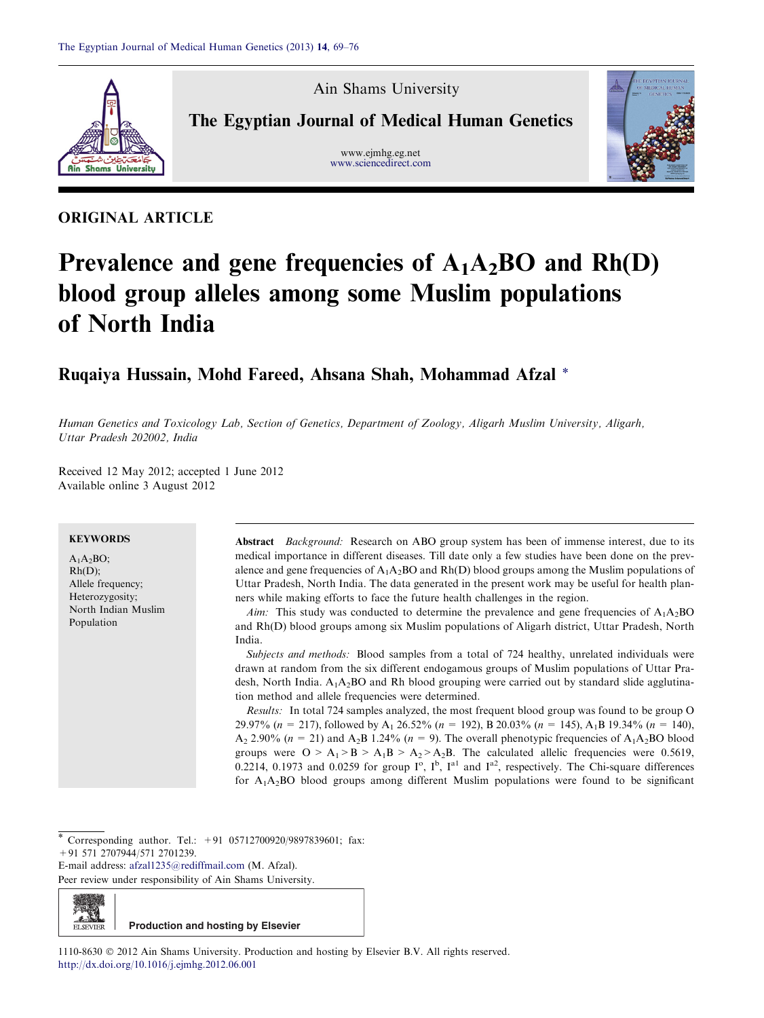

Ain Shams University

The Egyptian Journal of Medical Human Genetics

www.ejmhg.eg.net [www.sciencedirect.com](http://www.sciencedirect.com/science/journal/11108630)



### ORIGINAL ARTICLE

# Prevalence and gene frequencies of  $A_1A_2BO$  and  $Rh(D)$ blood group alleles among some Muslim populations of North India

Ruqaiya Hussain, Mohd Fareed, Ahsana Shah, Mohammad Afzal \*

Human Genetics and Toxicology Lab, Section of Genetics, Department of Zoology, Aligarh Muslim University, Aligarh, Uttar Pradesh 202002, India

Received 12 May 2012; accepted 1 June 2012 Available online 3 August 2012

#### **KEYWORDS**

 $A_1A_2BO;$  $Rh(D);$ Allele frequency; Heterozygosity; North Indian Muslim Population

Abstract Background: Research on ABO group system has been of immense interest, due to its medical importance in different diseases. Till date only a few studies have been done on the prevalence and gene frequencies of  $A_1A_2BO$  and  $Rh(D)$  blood groups among the Muslim populations of Uttar Pradesh, North India. The data generated in the present work may be useful for health planners while making efforts to face the future health challenges in the region.

Aim: This study was conducted to determine the prevalence and gene frequencies of  $A_1A_2BO$ and Rh(D) blood groups among six Muslim populations of Aligarh district, Uttar Pradesh, North India.

Subjects and methods: Blood samples from a total of 724 healthy, unrelated individuals were drawn at random from the six different endogamous groups of Muslim populations of Uttar Pradesh, North India.  $A_1A_2BO$  and Rh blood grouping were carried out by standard slide agglutination method and allele frequencies were determined.

Results: In total 724 samples analyzed, the most frequent blood group was found to be group O 29.97% (n = 217), followed by A<sub>1</sub> 26.52% (n = 192), B 20.03% (n = 145), A<sub>1</sub>B 19.34% (n = 140),  $A_2$  2.90% ( $n = 21$ ) and  $A_2B$  1.24% ( $n = 9$ ). The overall phenotypic frequencies of  $A_1A_2BO$  blood groups were  $O > A_1 > B > A_1B > A_2 > A_2B$ . The calculated allelic frequencies were 0.5619, 0.2214, 0.1973 and 0.0259 for group  $I^{\circ}$ ,  $I^{\circ}$ ,  $I^{a1}$  and  $I^{a2}$ , respectively. The Chi-square differences for  $A_1A_2BO$  blood groups among different Muslim populations were found to be significant

Corresponding author. Tel.: +91 05712700920/9897839601; fax:

```
+91 571 2707944/571 2701239.
```
E-mail address: [afzal1235@rediffmail.com](mailto:afzal1235@rediffmail.com) (M. Afzal).

Peer review under responsibility of Ain Shams University.



1110-8630  $\odot$  2012 Ain Shams University. Production and hosting by Elsevier B.V. All rights reserved. <http://dx.doi.org/10.1016/j.ejmhg.2012.06.001>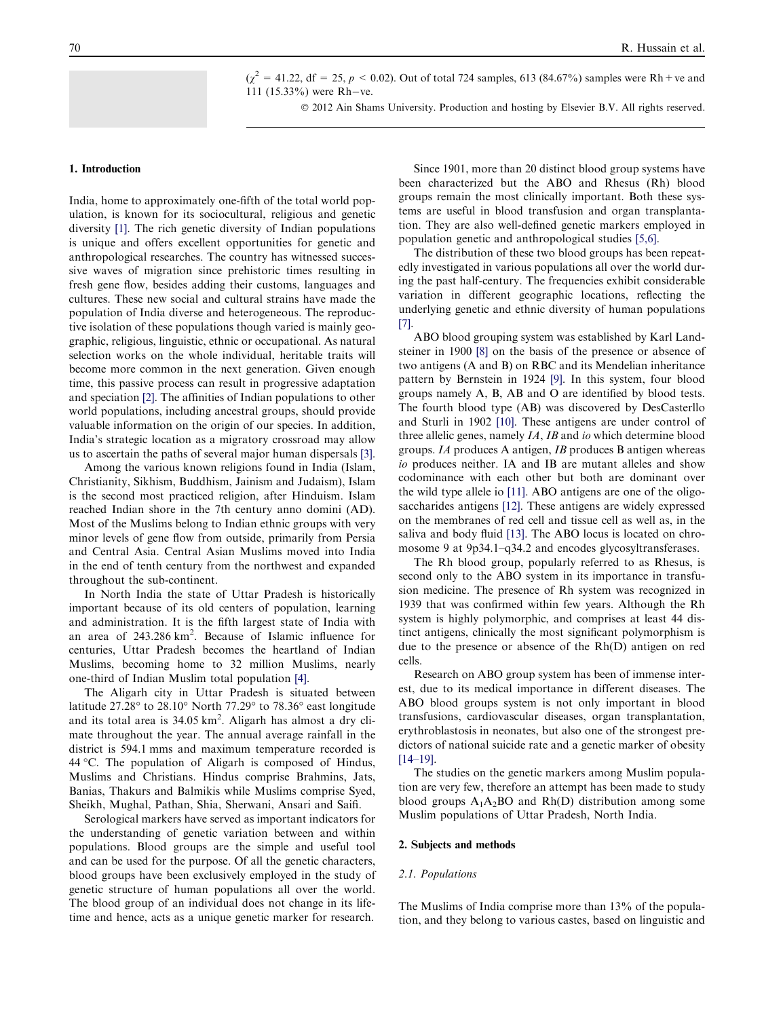$(\gamma^2 = 41.22, df = 25, p < 0.02)$ . Out of total 724 samples, 613 (84.67%) samples were Rh + ve and 111 (15.33%) were Rh-ve.

© 2012 Ain Shams University. Production and hosting by Elsevier B.V. All rights reserved.

#### 1. Introduction

India, home to approximately one-fifth of the total world population, is known for its sociocultural, religious and genetic diversity [\[1\]](#page-6-0). The rich genetic diversity of Indian populations is unique and offers excellent opportunities for genetic and anthropological researches. The country has witnessed successive waves of migration since prehistoric times resulting in fresh gene flow, besides adding their customs, languages and cultures. These new social and cultural strains have made the population of India diverse and heterogeneous. The reproductive isolation of these populations though varied is mainly geographic, religious, linguistic, ethnic or occupational. As natural selection works on the whole individual, heritable traits will become more common in the next generation. Given enough time, this passive process can result in progressive adaptation and speciation [\[2\]](#page-6-0). The affinities of Indian populations to other world populations, including ancestral groups, should provide valuable information on the origin of our species. In addition, India's strategic location as a migratory crossroad may allow us to ascertain the paths of several major human dispersals [\[3\]](#page-6-0).

Among the various known religions found in India (Islam, Christianity, Sikhism, Buddhism, Jainism and Judaism), Islam is the second most practiced religion, after Hinduism. Islam reached Indian shore in the 7th century anno domini (AD). Most of the Muslims belong to Indian ethnic groups with very minor levels of gene flow from outside, primarily from Persia and Central Asia. Central Asian Muslims moved into India in the end of tenth century from the northwest and expanded throughout the sub-continent.

In North India the state of Uttar Pradesh is historically important because of its old centers of population, learning and administration. It is the fifth largest state of India with an area of 243.286 km<sup>2</sup>. Because of Islamic influence for centuries, Uttar Pradesh becomes the heartland of Indian Muslims, becoming home to 32 million Muslims, nearly one-third of Indian Muslim total population [\[4\]](#page-6-0).

The Aligarh city in Uttar Pradesh is situated between latitude 27.28 $\degree$  to 28.10 $\degree$  North 77.29 $\degree$  to 78.36 $\degree$  east longitude and its total area is 34.05 km<sup>2</sup>. Aligarh has almost a dry climate throughout the year. The annual average rainfall in the district is 594.1 mms and maximum temperature recorded is  $44^{\circ}$ C. The population of Aligarh is composed of Hindus, Muslims and Christians. Hindus comprise Brahmins, Jats, Banias, Thakurs and Balmikis while Muslims comprise Syed, Sheikh, Mughal, Pathan, Shia, Sherwani, Ansari and Saifi.

Serological markers have served as important indicators for the understanding of genetic variation between and within populations. Blood groups are the simple and useful tool and can be used for the purpose. Of all the genetic characters, blood groups have been exclusively employed in the study of genetic structure of human populations all over the world. The blood group of an individual does not change in its lifetime and hence, acts as a unique genetic marker for research.

Since 1901, more than 20 distinct blood group systems have been characterized but the ABO and Rhesus (Rh) blood groups remain the most clinically important. Both these systems are useful in blood transfusion and organ transplantation. They are also well-defined genetic markers employed in population genetic and anthropological studies [\[5,6\].](#page-6-0)

The distribution of these two blood groups has been repeatedly investigated in various populations all over the world during the past half-century. The frequencies exhibit considerable variation in different geographic locations, reflecting the underlying genetic and ethnic diversity of human populations [\[7\]](#page-6-0).

ABO blood grouping system was established by Karl Landsteiner in 1900 [\[8\]](#page-6-0) on the basis of the presence or absence of two antigens (A and B) on RBC and its Mendelian inheritance pattern by Bernstein in 1924 [\[9\].](#page-6-0) In this system, four blood groups namely A, B, AB and O are identified by blood tests. The fourth blood type (AB) was discovered by DesCasterllo and Sturli in 1902 [\[10\].](#page-6-0) These antigens are under control of three allelic genes, namely IA, IB and io which determine blood groups. IA produces A antigen, IB produces B antigen whereas io produces neither. IA and IB are mutant alleles and show codominance with each other but both are dominant over the wild type allele io [\[11\].](#page-6-0) ABO antigens are one of the oligosaccharides antigens [\[12\].](#page-6-0) These antigens are widely expressed on the membranes of red cell and tissue cell as well as, in the saliva and body fluid [\[13\]](#page-6-0). The ABO locus is located on chromosome 9 at 9p34.1–q34.2 and encodes glycosyltransferases.

The Rh blood group, popularly referred to as Rhesus, is second only to the ABO system in its importance in transfusion medicine. The presence of Rh system was recognized in 1939 that was confirmed within few years. Although the Rh system is highly polymorphic, and comprises at least 44 distinct antigens, clinically the most significant polymorphism is due to the presence or absence of the Rh(D) antigen on red cells.

Research on ABO group system has been of immense interest, due to its medical importance in different diseases. The ABO blood groups system is not only important in blood transfusions, cardiovascular diseases, organ transplantation, erythroblastosis in neonates, but also one of the strongest predictors of national suicide rate and a genetic marker of obesity [\[14–19\]](#page-6-0).

The studies on the genetic markers among Muslim population are very few, therefore an attempt has been made to study blood groups  $A_1A_2BO$  and  $Rh(D)$  distribution among some Muslim populations of Uttar Pradesh, North India.

#### 2. Subjects and methods

#### 2.1. Populations

The Muslims of India comprise more than 13% of the population, and they belong to various castes, based on linguistic and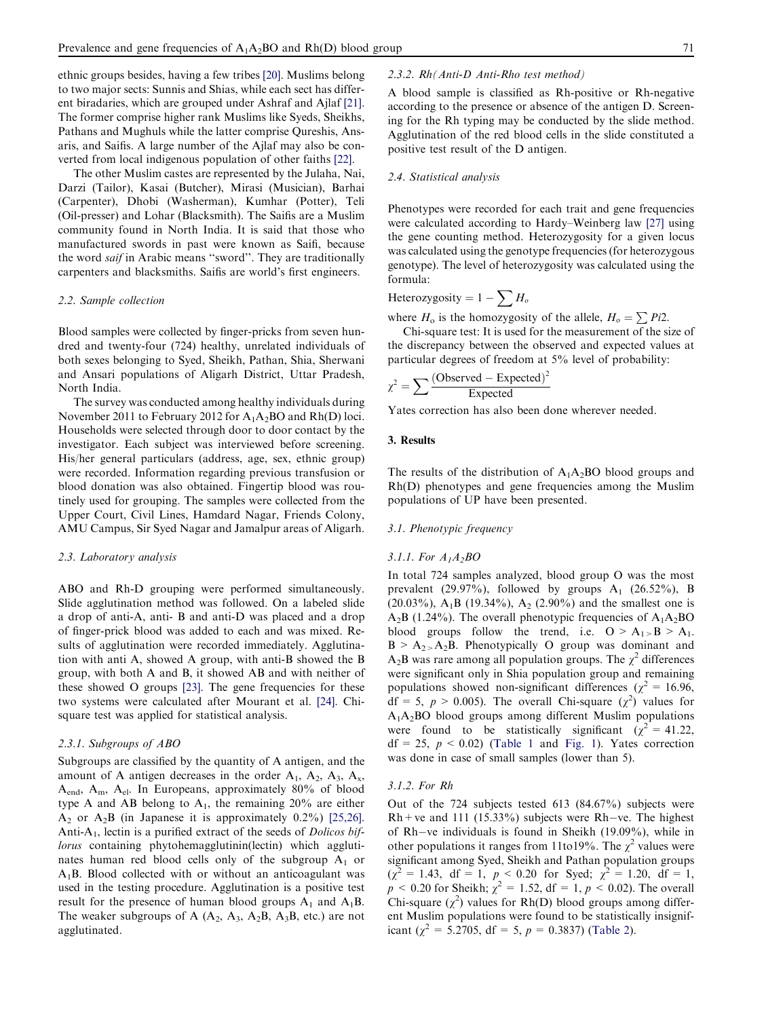ethnic groups besides, having a few tribes [\[20\].](#page-6-0) Muslims belong to two major sects: Sunnis and Shias, while each sect has different biradaries, which are grouped under Ashraf and Ajlaf [\[21\]](#page-6-0). The former comprise higher rank Muslims like Syeds, Sheikhs, Pathans and Mughuls while the latter comprise Qureshis, Ansaris, and Saifis. A large number of the Ajlaf may also be converted from local indigenous population of other faiths [\[22\]](#page-6-0).

The other Muslim castes are represented by the Julaha, Nai, Darzi (Tailor), Kasai (Butcher), Mirasi (Musician), Barhai (Carpenter), Dhobi (Washerman), Kumhar (Potter), Teli (Oil-presser) and Lohar (Blacksmith). The Saifis are a Muslim community found in North India. It is said that those who manufactured swords in past were known as Saifi, because the word saif in Arabic means "sword". They are traditionally carpenters and blacksmiths. Saifis are world's first engineers.

#### 2.2. Sample collection

Blood samples were collected by finger-pricks from seven hundred and twenty-four (724) healthy, unrelated individuals of both sexes belonging to Syed, Sheikh, Pathan, Shia, Sherwani and Ansari populations of Aligarh District, Uttar Pradesh, North India.

The survey was conducted among healthy individuals during November 2011 to February 2012 for  $A_1A_2BO$  and  $Rh(D)$  loci. Households were selected through door to door contact by the investigator. Each subject was interviewed before screening. His/her general particulars (address, age, sex, ethnic group) were recorded. Information regarding previous transfusion or blood donation was also obtained. Fingertip blood was routinely used for grouping. The samples were collected from the Upper Court, Civil Lines, Hamdard Nagar, Friends Colony, AMU Campus, Sir Syed Nagar and Jamalpur areas of Aligarh.

#### 2.3. Laboratory analysis

ABO and Rh-D grouping were performed simultaneously. Slide agglutination method was followed. On a labeled slide a drop of anti-A, anti- B and anti-D was placed and a drop of finger-prick blood was added to each and was mixed. Results of agglutination were recorded immediately. Agglutination with anti A, showed A group, with anti-B showed the B group, with both A and B, it showed AB and with neither of these showed O groups [\[23\]](#page-6-0). The gene frequencies for these two systems were calculated after Mourant et al. [\[24\]](#page-6-0). Chisquare test was applied for statistical analysis.

#### 2.3.1. Subgroups of ABO

Subgroups are classified by the quantity of A antigen, and the amount of A antigen decreases in the order  $A_1$ ,  $A_2$ ,  $A_3$ ,  $A_x$ ,  $A_{end}$ ,  $A_{m}$ ,  $A_{el}$ . In Europeans, approximately 80% of blood type A and AB belong to  $A_1$ , the remaining 20% are either  $A_2$  or  $A_2B$  (in Japanese it is approximately 0.2%) [\[25,26\].](#page-6-0) Anti- $A_1$ , lectin is a purified extract of the seeds of *Dolicos bif*lorus containing phytohemagglutinin(lectin) which agglutinates human red blood cells only of the subgroup  $A_1$  or  $A_1B$ . Blood collected with or without an anticoagulant was used in the testing procedure. Agglutination is a positive test result for the presence of human blood groups  $A_1$  and  $A_1B$ . The weaker subgroups of A  $(A_2, A_3, A_2B, A_3B,$  etc.) are not agglutinated.

#### 2.3.2. Rh(Anti-D Anti-Rho test method)

A blood sample is classified as Rh-positive or Rh-negative according to the presence or absence of the antigen D. Screening for the Rh typing may be conducted by the slide method. Agglutination of the red blood cells in the slide constituted a positive test result of the D antigen.

#### 2.4. Statistical analysis

Phenotypes were recorded for each trait and gene frequencies were calculated according to Hardy–Weinberg law [\[27\]](#page-6-0) using the gene counting method. Heterozygosity for a given locus was calculated using the genotype frequencies (for heterozygous genotype). The level of heterozygosity was calculated using the formula:

## Heterozygosity =  $1 - \sum H_o$

where  $H_0$  is the homozygosity of the allele,  $H_0 = \sum Pi2$ .

Chi-square test: It is used for the measurement of the size of the discrepancy between the observed and expected values at particular degrees of freedom at 5% level of probability:

$$
\chi^2 = \sum \frac{\text{(Observed - Expected})^2}{\text{Expected}}
$$

Yates correction has also been done wherever needed.

#### 3. Results

The results of the distribution of  $A_1A_2BO$  blood groups and Rh(D) phenotypes and gene frequencies among the Muslim populations of UP have been presented.

#### 3.1. Phenotypic frequency

#### 3.1.1. For  $A_1A_2BO$

In total 724 samples analyzed, blood group O was the most prevalent (29.97%), followed by groups  $A_1$  (26.52%), B  $(20.03\%)$ , A<sub>1</sub>B  $(19.34\%)$ , A<sub>2</sub>  $(2.90\%)$  and the smallest one is  $A_2B$  (1.24%). The overall phenotypic frequencies of  $A_1A_2BO$ blood groups follow the trend, i.e.  $O > A_{1> B} > A_{1-}$  $B > A<sub>2</sub> A<sub>2</sub>B$ . Phenotypically O group was dominant and A<sub>2</sub>B was rare among all population groups. The  $\chi^2$  differences were significant only in Shia population group and remaining populations showed non-significant differences ( $\chi^2$  = 16.96,  $df = 5$ ,  $p > 0.005$ ). The overall Chi-square  $(\chi^2)$  values for A1A2BO blood groups among different Muslim populations were found to be statistically significant ( $\chi^2 = 41.22$ ,  $df = 25$ ,  $p < 0.02$ ) ([Table 1](#page-3-0) and [Fig. 1](#page-3-0)). Yates correction was done in case of small samples (lower than 5).

#### 3.1.2. For Rh

Out of the 724 subjects tested 613 (84.67%) subjects were  $Rh$ + ve and 111 (15.33%) subjects were Rh–ve. The highest of Rh-ve individuals is found in Sheikh (19.09%), while in other populations it ranges from 11to19%. The  $\chi^2$  values were significant among Syed, Sheikh and Pathan population groups  $(\chi^2 = 1.43, df = 1, p < 0.20$  for Syed;  $\chi^2 = 1.20, df = 1$ ,  $p < 0.20$  for Sheikh;  $\chi^2 = 1.52$ , df = 1,  $p < 0.02$ ). The overall Chi-square  $(\chi^2)$  values for Rh(D) blood groups among different Muslim populations were found to be statistically insignificant ( $\chi^2$  = 5.2705, df = 5, p = 0.3837) ([Table 2\)](#page-3-0).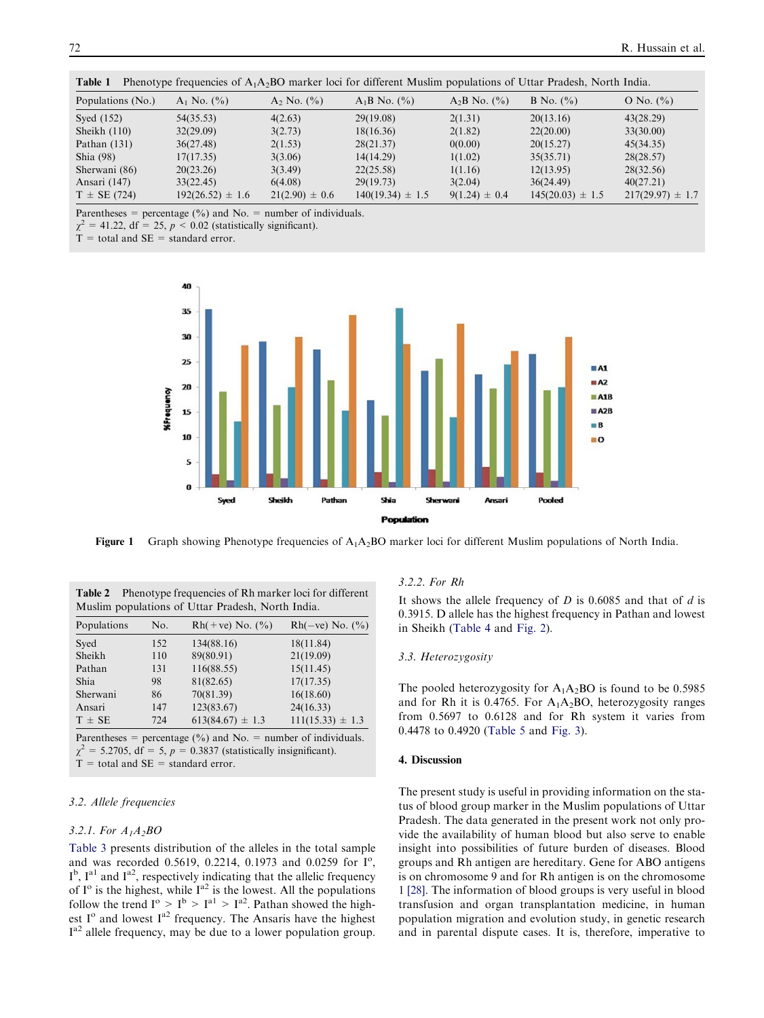<span id="page-3-0"></span>

| Table 1           |                      |                    |                      |                    | Phenotype frequencies of $A_1A_2BO$ marker loci for different Muslim populations of Uttar Pradesh, North India. |                      |
|-------------------|----------------------|--------------------|----------------------|--------------------|-----------------------------------------------------------------------------------------------------------------|----------------------|
| Populations (No.) | $A_1$ No. $(\% )$    | $A_2$ No. $(\% )$  | $A_1B$ No. $(\% )$   | $A_2B$ No. $(\% )$ | $B$ No. $(\% )$                                                                                                 | O No. $(\% )$        |
| Syed $(152)$      | 54(35.53)            | 4(2.63)            | 29(19.08)            | 2(1.31)            | 20(13.16)                                                                                                       | 43(28.29)            |
| Sheikh $(110)$    | 32(29.09)            | 3(2.73)            | 18(16.36)            | 2(1.82)            | 22(20.00)                                                                                                       | 33(30.00)            |
| Pathan $(131)$    | 36(27.48)            | 2(1.53)            | 28(21.37)            | 0(0.00)            | 20(15.27)                                                                                                       | 45(34.35)            |
| Shia $(98)$       | 17(17.35)            | 3(3.06)            | 14(14.29)            | 1(1.02)            | 35(35.71)                                                                                                       | 28(28.57)            |
| Sherwani (86)     | 20(23.26)            | 3(3.49)            | 22(25.58)            | 1(1.16)            | 12(13.95)                                                                                                       | 28(32.56)            |
| Ansari (147)      | 33(22.45)            | 6(4.08)            | 29(19.73)            | 3(2.04)            | 36(24.49)                                                                                                       | 40(27.21)            |
| $T \pm SE(724)$   | $192(26.52) \pm 1.6$ | $21(2.90) \pm 0.6$ | $140(19.34) \pm 1.5$ | $9(1.24) \pm 0.4$  | $145(20.03) \pm 1.5$                                                                                            | $217(29.97) \pm 1.7$ |

Parentheses = percentage  $(\%)$  and No. = number of individuals.

 $\chi^2$  = 41.22, df = 25, p < 0.02 (statistically significant).

 $T =$  total and  $SE =$  standard error.



Figure 1 Graph showing Phenotype frequencies of  $A_1A_2BO$  marker loci for different Muslim populations of North India.

Table 2 Phenotype frequencies of Rh marker loci for different Muslim populations of Uttar Pradesh, North India.

| Populations | No. | $Rh(+ve)$ No. $(\%)$                                                                                                                                                                                                                                                                                                                      | $Rh(-ve) No. (%)$    |
|-------------|-----|-------------------------------------------------------------------------------------------------------------------------------------------------------------------------------------------------------------------------------------------------------------------------------------------------------------------------------------------|----------------------|
| Syed        | 152 | 134(88.16)                                                                                                                                                                                                                                                                                                                                | 18(11.84)            |
| Sheikh      | 110 | 89(80.91)                                                                                                                                                                                                                                                                                                                                 | 21(19.09)            |
| Pathan      | 131 | 116(88.55)                                                                                                                                                                                                                                                                                                                                | 15(11.45)            |
| Shia        | 98  | 81(82.65)                                                                                                                                                                                                                                                                                                                                 | 17(17.35)            |
| Sherwani    | 86  | 70(81.39)                                                                                                                                                                                                                                                                                                                                 | 16(18.60)            |
| Ansari      | 147 | 123(83.67)                                                                                                                                                                                                                                                                                                                                | 24(16.33)            |
| $T \pm SE$  | 724 | $613(84.67) \pm 1.3$                                                                                                                                                                                                                                                                                                                      | $111(15.33) \pm 1.3$ |
|             |     | $\mathbf{D}$ , $\mathbf{A}$ , $\mathbf{A}$ , $\mathbf{A}$ , $\mathbf{A}$ , $\mathbf{A}$ , $\mathbf{A}$ , $\mathbf{A}$ , $\mathbf{A}$ , $\mathbf{A}$ , $\mathbf{A}$ , $\mathbf{A}$ , $\mathbf{A}$ , $\mathbf{A}$ , $\mathbf{A}$ , $\mathbf{A}$ , $\mathbf{A}$ , $\mathbf{A}$ , $\mathbf{A}$ , $\mathbf{A}$ , $\mathbf{A}$ , $\mathbf{A}$ , |                      |

Parentheses = percentage  $(\%)$  and No. = number of individuals.  $\chi^2$  = 5.2705, df = 5, p = 0.3837 (statistically insignificant).  $T =$  total and  $SE =$  standard error.

#### 3.2. Allele frequencies

#### 3.2.1. For  $A_1A_2BO$

[Table 3](#page-4-0) presents distribution of the alleles in the total sample and was recorded 0.5619, 0.2214, 0.1973 and 0.0259 for  $I^{\circ}$ ,  $I^b$ ,  $I^{a1}$  and  $I^{a2}$ , respectively indicating that the allelic frequency of  $I^{\circ}$  is the highest, while  $I^{a2}$  is the lowest. All the populations follow the trend  $I^{\circ} > I^{\circ} > I^{a1} > I^{a2}$ . Pathan showed the highest  $I^{\circ}$  and lowest  $I^{a2}$  frequency. The Ansaris have the highest I<sup>a2</sup> allele frequency, may be due to a lower population group.

#### 3.2.2. For Rh

It shows the allele frequency of  $D$  is 0.6085 and that of  $d$  is 0.3915. D allele has the highest frequency in Pathan and lowest in Sheikh [\(Table 4](#page-4-0) and [Fig. 2\)](#page-4-0).

#### 3.3. Heterozygosity

The pooled heterozygosity for  $A_1A_2BO$  is found to be 0.5985 and for Rh it is 0.4765. For  $A_1A_2BO$ , heterozygosity ranges from 0.5697 to 0.6128 and for Rh system it varies from 0.4478 to 0.4920 [\(Table 5](#page-4-0) and [Fig. 3\)](#page-5-0).

#### 4. Discussion

The present study is useful in providing information on the status of blood group marker in the Muslim populations of Uttar Pradesh. The data generated in the present work not only provide the availability of human blood but also serve to enable insight into possibilities of future burden of diseases. Blood groups and Rh antigen are hereditary. Gene for ABO antigens is on chromosome 9 and for Rh antigen is on the chromosome 1 [\[28\].](#page-6-0) The information of blood groups is very useful in blood transfusion and organ transplantation medicine, in human population migration and evolution study, in genetic research and in parental dispute cases. It is, therefore, imperative to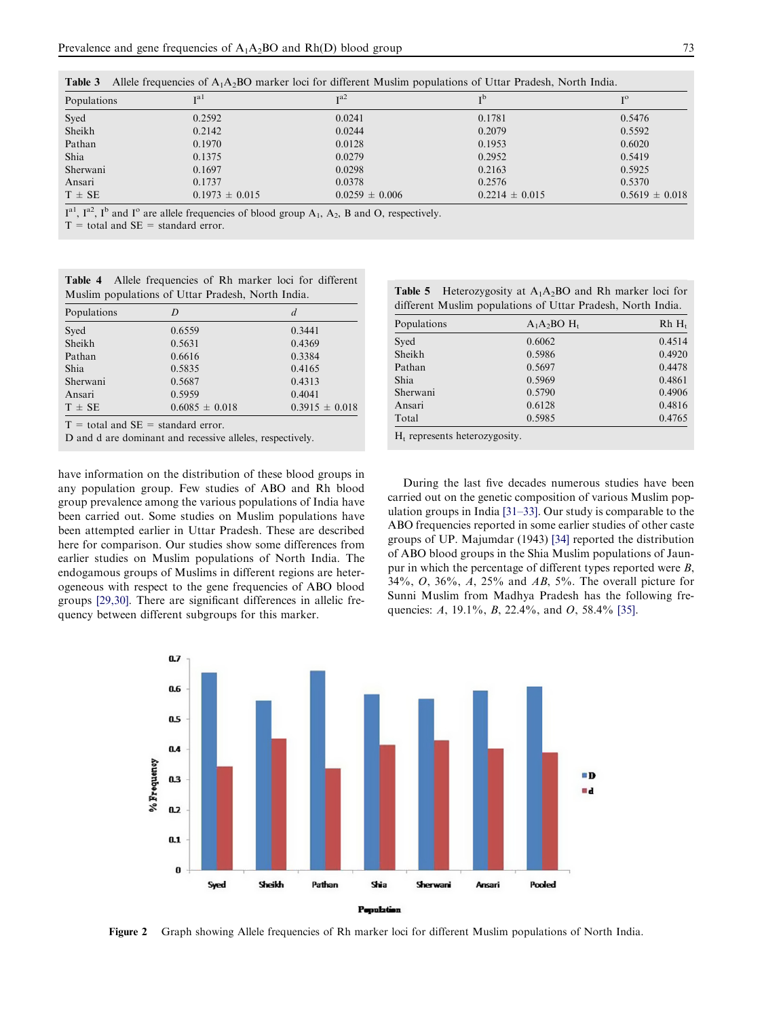| <b>Table 3</b> Trible hequencies of Trity <b>DO</b> market foel for unferent brushin populations of Ottal Fraucsh, Forth India. |                    |                    |                    |                    |  |  |
|---------------------------------------------------------------------------------------------------------------------------------|--------------------|--------------------|--------------------|--------------------|--|--|
| Populations                                                                                                                     | T <sup>al</sup>    | Ta2                |                    |                    |  |  |
| Syed                                                                                                                            | 0.2592             | 0.0241             | 0.1781             | 0.5476             |  |  |
| Sheikh                                                                                                                          | 0.2142             | 0.0244             | 0.2079             | 0.5592             |  |  |
| Pathan                                                                                                                          | 0.1970             | 0.0128             | 0.1953             | 0.6020             |  |  |
| <b>Shia</b>                                                                                                                     | 0.1375             | 0.0279             | 0.2952             | 0.5419             |  |  |
| Sherwani                                                                                                                        | 0.1697             | 0.0298             | 0.2163             | 0.5925             |  |  |
| Ansari                                                                                                                          | 0.1737             | 0.0378             | 0.2576             | 0.5370             |  |  |
| $T \pm SE$                                                                                                                      | $0.1973 \pm 0.015$ | $0.0259 \pm 0.006$ | $0.2214 \pm 0.015$ | $0.5619 \pm 0.018$ |  |  |

<span id="page-4-0"></span>

|  | <b>Table 3</b> Allele frequencies of $A_1A_2BO$ marker loci for different Muslim populations of Uttar Pradesh, North India. |  |  |  |  |  |  |  |  |  |  |
|--|-----------------------------------------------------------------------------------------------------------------------------|--|--|--|--|--|--|--|--|--|--|
|--|-----------------------------------------------------------------------------------------------------------------------------|--|--|--|--|--|--|--|--|--|--|

 $I^{a_1}$ ,  $I^{a_2}$ ,  $I^b$  and  $I^o$  are allele frequencies of blood group  $A_1$ ,  $A_2$ , B and O, respectively.

 $T =$  total and  $SE =$  standard error.

|  | <b>Table 4</b> Allele frequencies of Rh marker loci for different |  |  |
|--|-------------------------------------------------------------------|--|--|
|  | Muslim populations of Uttar Pradesh, North India.                 |  |  |

| Populations | D                  | d                  |
|-------------|--------------------|--------------------|
| Syed        | 0.6559             | 0.3441             |
| Sheikh      | 0.5631             | 0.4369             |
| Pathan      | 0.6616             | 0.3384             |
| <b>Shia</b> | 0.5835             | 0.4165             |
| Sherwani    | 0.5687             | 0.4313             |
| Ansari      | 0.5959             | 0.4041             |
| $T \pm SE$  | $0.6085 \pm 0.018$ | $0.3915 \pm 0.018$ |

 $T =$  total and  $SE =$  standard error.

D and d are dominant and recessive alleles, respectively.

have information on the distribution of these blood groups in any population group. Few studies of ABO and Rh blood group prevalence among the various populations of India have been carried out. Some studies on Muslim populations have been attempted earlier in Uttar Pradesh. These are described here for comparison. Our studies show some differences from earlier studies on Muslim populations of North India. The endogamous groups of Muslims in different regions are heterogeneous with respect to the gene frequencies of ABO blood groups [\[29,30\]](#page-6-0). There are significant differences in allelic frequency between different subgroups for this marker.

| <b>Table 5</b> Heterozygosity at $A_1A_2BO$ and Rh marker loci for |
|--------------------------------------------------------------------|
| different Muslim populations of Uttar Pradesh, North India.        |

| Populations                 | $A_1A_2BO$ H <sub>t</sub> | $Rh H_t$ |
|-----------------------------|---------------------------|----------|
| Syed                        | 0.6062                    | 0.4514   |
| Sheikh                      | 0.5986                    | 0.4920   |
| Pathan                      | 0.5697                    | 0.4478   |
| Shia                        | 0.5969                    | 0.4861   |
| Sherwani                    | 0.5790                    | 0.4906   |
| Ansari                      | 0.6128                    | 0.4816   |
| Total                       | 0.5985                    | 0.4765   |
| II sonscente hotosograpoity |                           |          |

 $H_t$  represents heterozygosity.

During the last five decades numerous studies have been carried out on the genetic composition of various Muslim population groups in India [\[31–33\]](#page-6-0). Our study is comparable to the ABO frequencies reported in some earlier studies of other caste groups of UP. Majumdar (1943) [\[34\]](#page-7-0) reported the distribution of ABO blood groups in the Shia Muslim populations of Jaunpur in which the percentage of different types reported were B, 34%, O, 36%, A, 25% and AB, 5%. The overall picture for Sunni Muslim from Madhya Pradesh has the following fre-quencies: A, 19.1%, B, 22.4%, and O, 58.4% [\[35\]](#page-7-0).



Figure 2 Graph showing Allele frequencies of Rh marker loci for different Muslim populations of North India.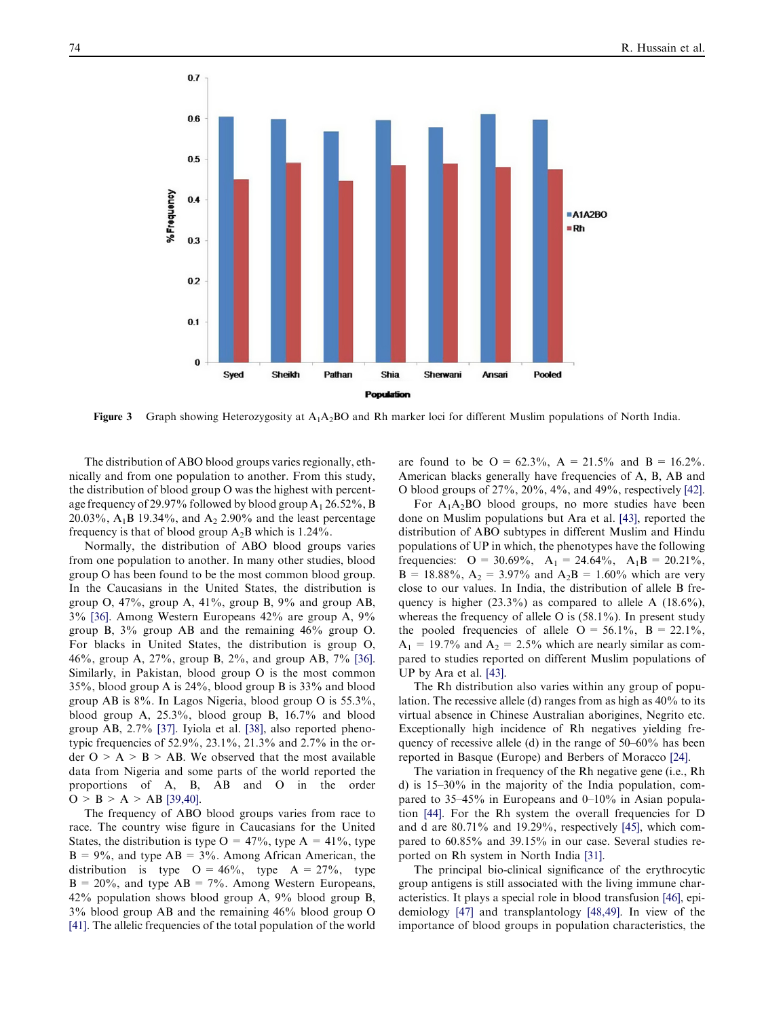<span id="page-5-0"></span>

Figure 3 Graph showing Heterozygosity at A1A2BO and Rh marker loci for different Muslim populations of North India.

The distribution of ABO blood groups varies regionally, ethnically and from one population to another. From this study, the distribution of blood group O was the highest with percentage frequency of 29.97% followed by blood group  $A_1$  26.52%, B 20.03%,  $A_1B$  19.34%, and  $A_2$  2.90% and the least percentage frequency is that of blood group  $A_2B$  which is 1.24%.

Normally, the distribution of ABO blood groups varies from one population to another. In many other studies, blood group O has been found to be the most common blood group. In the Caucasians in the United States, the distribution is group  $O$ , 47%, group A, 41%, group B, 9% and group AB, 3% [\[36\].](#page-7-0) Among Western Europeans 42% are group A, 9% group B, 3% group AB and the remaining 46% group O. For blacks in United States, the distribution is group O, 46%, group A, 27%, group B, 2%, and group AB, 7% [\[36\]](#page-7-0). Similarly, in Pakistan, blood group O is the most common 35%, blood group A is 24%, blood group B is 33% and blood group AB is 8%. In Lagos Nigeria, blood group O is 55.3%, blood group A, 25.3%, blood group B, 16.7% and blood group AB, 2.7% [\[37\].](#page-7-0) Iyiola et al. [\[38\]](#page-7-0), also reported phenotypic frequencies of 52.9%, 23.1%, 21.3% and 2.7% in the order  $O > A > B > AB$ . We observed that the most available data from Nigeria and some parts of the world reported the proportions of A, B, AB and O in the order  $O > B > A > AB$  [\[39,40\].](#page-7-0)

The frequency of ABO blood groups varies from race to race. The country wise figure in Caucasians for the United States, the distribution is type  $O = 47\%$ , type  $A = 41\%$ , type  $B = 9\%$ , and type AB = 3%. Among African American, the distribution is type  $O = 46\%$ , type  $A = 27\%$ , type  $B = 20\%$ , and type  $AB = 7\%$ . Among Western Europeans, 42% population shows blood group A, 9% blood group B, 3% blood group AB and the remaining 46% blood group O [\[41\].](#page-7-0) The allelic frequencies of the total population of the world

are found to be  $O = 62.3\%$ ,  $A = 21.5\%$  and  $B = 16.2\%$ . American blacks generally have frequencies of A, B, AB and O blood groups of 27%, 20%, 4%, and 49%, respectively [\[42\]](#page-7-0).

For  $A_1A_2BO$  blood groups, no more studies have been done on Muslim populations but Ara et al. [\[43\],](#page-7-0) reported the distribution of ABO subtypes in different Muslim and Hindu populations of UP in which, the phenotypes have the following frequencies:  $O = 30.69\%$ ,  $A_1 = 24.64\%$ ,  $A_1B = 20.21\%$ ,  $B = 18.88\%, A_2 = 3.97\%$  and  $A_2B = 1.60\%$  which are very close to our values. In India, the distribution of allele B frequency is higher  $(23.3\%)$  as compared to allele A  $(18.6\%)$ , whereas the frequency of allele O is  $(58.1\%)$ . In present study the pooled frequencies of allele  $O = 56.1\%$ ,  $B = 22.1\%$ ,  $A_1 = 19.7\%$  and  $A_2 = 2.5\%$  which are nearly similar as compared to studies reported on different Muslim populations of UP by Ara et al. [\[43\].](#page-7-0)

The Rh distribution also varies within any group of population. The recessive allele (d) ranges from as high as 40% to its virtual absence in Chinese Australian aborigines, Negrito etc. Exceptionally high incidence of Rh negatives yielding frequency of recessive allele (d) in the range of 50–60% has been reported in Basque (Europe) and Berbers of Moracco [\[24\]](#page-6-0).

The variation in frequency of the Rh negative gene (i.e., Rh d) is 15–30% in the majority of the India population, compared to 35–45% in Europeans and 0–10% in Asian population [\[44\]](#page-7-0). For the Rh system the overall frequencies for D and d are 80.71% and 19.29%, respectively [\[45\],](#page-7-0) which compared to 60.85% and 39.15% in our case. Several studies reported on Rh system in North India [\[31\].](#page-6-0)

The principal bio-clinical significance of the erythrocytic group antigens is still associated with the living immune characteristics. It plays a special role in blood transfusion [\[46\],](#page-7-0) epidemiology [\[47\]](#page-7-0) and transplantology [\[48,49\]](#page-7-0). In view of the importance of blood groups in population characteristics, the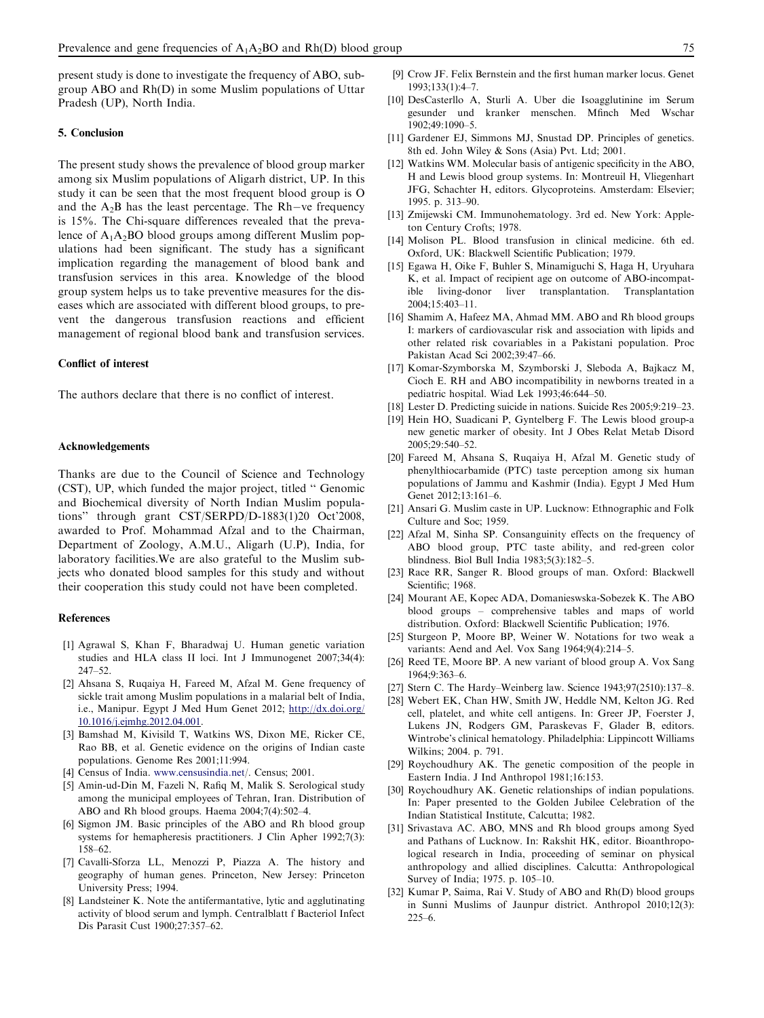<span id="page-6-0"></span>present study is done to investigate the frequency of ABO, subgroup ABO and Rh(D) in some Muslim populations of Uttar Pradesh (UP), North India.

#### 5. Conclusion

The present study shows the prevalence of blood group marker among six Muslim populations of Aligarh district, UP. In this study it can be seen that the most frequent blood group is O and the  $A_2B$  has the least percentage. The Rh-ve frequency is 15%. The Chi-square differences revealed that the prevalence of  $A_1A_2BO$  blood groups among different Muslim populations had been significant. The study has a significant implication regarding the management of blood bank and transfusion services in this area. Knowledge of the blood group system helps us to take preventive measures for the diseases which are associated with different blood groups, to prevent the dangerous transfusion reactions and efficient management of regional blood bank and transfusion services.

#### Conflict of interest

The authors declare that there is no conflict of interest.

#### Acknowledgements

Thanks are due to the Council of Science and Technology (CST), UP, which funded the major project, titled '' Genomic and Biochemical diversity of North Indian Muslim populations'' through grant CST/SERPD/D-1883(1)20 Oct'2008, awarded to Prof. Mohammad Afzal and to the Chairman, Department of Zoology, A.M.U., Aligarh (U.P), India, for laboratory facilities.We are also grateful to the Muslim subjects who donated blood samples for this study and without their cooperation this study could not have been completed.

#### References

- [1] Agrawal S, Khan F, Bharadwaj U. Human genetic variation studies and HLA class II loci. Int J Immunogenet 2007;34(4): 247–52.
- [2] Ahsana S, Ruqaiya H, Fareed M, Afzal M. Gene frequency of sickle trait among Muslim populations in a malarial belt of India, i.e., Manipur. Egypt J Med Hum Genet 2012; [http://dx.doi.org/](http://www.dx.doi.org/10.1016/j.ejmhg.2012.04.001) [10.1016/j.ejmhg.2012.04.001.](http://www.dx.doi.org/10.1016/j.ejmhg.2012.04.001)
- [3] Bamshad M, Kivisild T, Watkins WS, Dixon ME, Ricker CE, Rao BB, et al. Genetic evidence on the origins of Indian caste populations. Genome Res 2001;11:994.
- Census of India. [www.censusindia.net/](http://www.censusindia.net). Census; 2001.
- [5] Amin-ud-Din M, Fazeli N, Rafiq M, Malik S. Serological study among the municipal employees of Tehran, Iran. Distribution of ABO and Rh blood groups. Haema 2004;7(4):502–4.
- [6] Sigmon JM. Basic principles of the ABO and Rh blood group systems for hemapheresis practitioners. J Clin Apher 1992;7(3): 158–62.
- [7] Cavalli-Sforza LL, Menozzi P, Piazza A. The history and geography of human genes. Princeton, New Jersey: Princeton University Press; 1994.
- [8] Landsteiner K. Note the antifermantative, lytic and agglutinating activity of blood serum and lymph. Centralblatt f Bacteriol Infect Dis Parasit Cust 1900;27:357–62.
- [9] Crow JF. Felix Bernstein and the first human marker locus. Genet 1993;133(1):4–7.
- [10] DesCasterllo A, Sturli A. Uber die Isoagglutinine im Serum gesunder und kranker menschen. Mfinch Med Wschar 1902;49:1090–5.
- [11] Gardener EJ, Simmons MJ, Snustad DP. Principles of genetics. 8th ed. John Wiley & Sons (Asia) Pvt. Ltd; 2001.
- [12] Watkins WM. Molecular basis of antigenic specificity in the ABO, H and Lewis blood group systems. In: Montreuil H, Vliegenhart JFG, Schachter H, editors. Glycoproteins. Amsterdam: Elsevier; 1995. p. 313–90.
- [13] Zmijewski CM. Immunohematology. 3rd ed. New York: Appleton Century Crofts; 1978.
- [14] Molison PL. Blood transfusion in clinical medicine. 6th ed. Oxford, UK: Blackwell Scientific Publication; 1979.
- [15] Egawa H, Oike F, Buhler S, Minamiguchi S, Haga H, Uryuhara K, et al. Impact of recipient age on outcome of ABO-incompatible living-donor liver transplantation. Transplantation 2004;15:403–11.
- [16] Shamim A, Hafeez MA, Ahmad MM. ABO and Rh blood groups I: markers of cardiovascular risk and association with lipids and other related risk covariables in a Pakistani population. Proc Pakistan Acad Sci 2002;39:47–66.
- [17] Komar-Szymborska M, Szymborski J, Sleboda A, Bajkacz M, Cioch E. RH and ABO incompatibility in newborns treated in a pediatric hospital. Wiad Lek 1993;46:644–50.
- [18] Lester D. Predicting suicide in nations. Suicide Res 2005;9:219–23.
- [19] Hein HO, Suadicani P, Gyntelberg F. The Lewis blood group-a new genetic marker of obesity. Int J Obes Relat Metab Disord 2005;29:540–52.
- [20] Fareed M, Ahsana S, Ruqaiya H, Afzal M. Genetic study of phenylthiocarbamide (PTC) taste perception among six human populations of Jammu and Kashmir (India). Egypt J Med Hum Genet 2012;13:161-6.
- [21] Ansari G. Muslim caste in UP. Lucknow: Ethnographic and Folk Culture and Soc; 1959.
- [22] Afzal M, Sinha SP. Consanguinity effects on the frequency of ABO blood group, PTC taste ability, and red-green color blindness. Biol Bull India 1983;5(3):182–5.
- [23] Race RR, Sanger R. Blood groups of man. Oxford: Blackwell Scientific; 1968.
- [24] Mourant AE, Kopec ADA, Domanieswska-Sobezek K. The ABO blood groups – comprehensive tables and maps of world distribution. Oxford: Blackwell Scientific Publication; 1976.
- [25] Sturgeon P, Moore BP, Weiner W. Notations for two weak a variants: Aend and Ael. Vox Sang 1964;9(4):214–5.
- [26] Reed TE, Moore BP. A new variant of blood group A. Vox Sang 1964;9:363–6.
- [27] Stern C. The Hardy–Weinberg law. Science 1943;97(2510):137–8.
- [28] Webert EK, Chan HW, Smith JW, Heddle NM, Kelton JG. Red cell, platelet, and white cell antigens. In: Greer JP, Foerster J, Lukens JN, Rodgers GM, Paraskevas F, Glader B, editors. Wintrobe's clinical hematology. Philadelphia: Lippincott Williams Wilkins; 2004. p. 791.
- [29] Roychoudhury AK. The genetic composition of the people in Eastern India. J Ind Anthropol 1981;16:153.
- [30] Roychoudhury AK. Genetic relationships of indian populations. In: Paper presented to the Golden Jubilee Celebration of the Indian Statistical Institute, Calcutta; 1982.
- [31] Srivastava AC. ABO, MNS and Rh blood groups among Syed and Pathans of Lucknow. In: Rakshit HK, editor. Bioanthropological research in India, proceeding of seminar on physical anthropology and allied disciplines. Calcutta: Anthropological Survey of India; 1975. p. 105–10.
- [32] Kumar P, Saima, Rai V. Study of ABO and Rh(D) blood groups in Sunni Muslims of Jaunpur district. Anthropol 2010;12(3): 225–6.